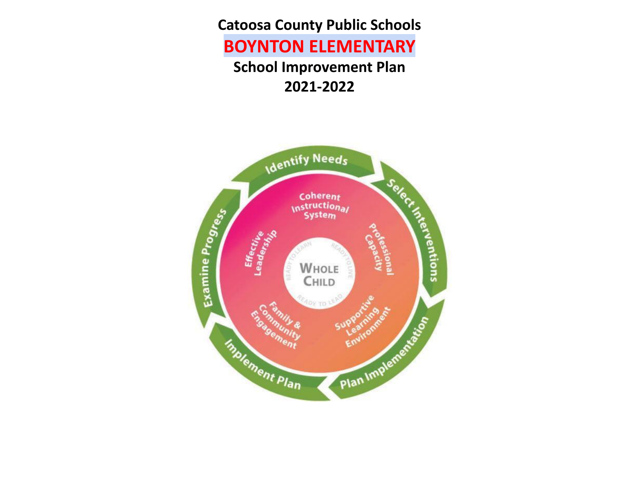**Catoosa County Public Schools**

# **BOYNTON ELEMENTARY**

**School Improvement Plan 2021-2022**

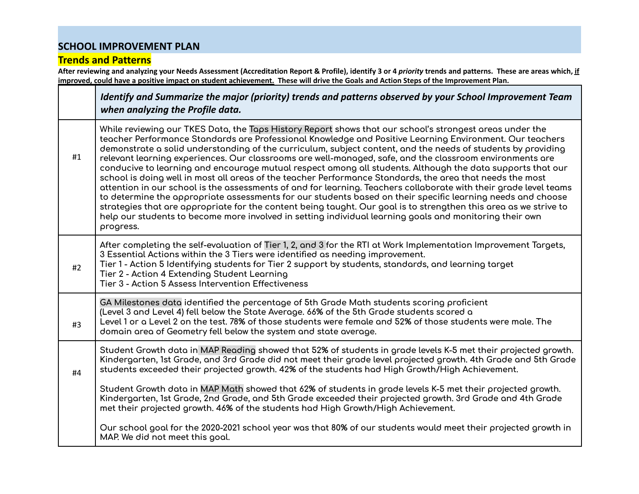#### **Trends and Patterns**

After reviewing and analyzing your Needs Assessment (Accreditation Report & Profile), identify 3 or 4 priority trends and patterns. These are areas which, if improved, could have a positive impact on student achievement. These will drive the Goals and Action Steps of the Improvement Plan.

|    | Identify and Summarize the major (priority) trends and patterns observed by your School Improvement Team<br>when analyzing the Profile data.                                                                                                                                                                                                                                                                                                                                                                                                                                                                                                                                                                                                                                                                                                                                                                                                                                                                                                                                                                                                                 |
|----|--------------------------------------------------------------------------------------------------------------------------------------------------------------------------------------------------------------------------------------------------------------------------------------------------------------------------------------------------------------------------------------------------------------------------------------------------------------------------------------------------------------------------------------------------------------------------------------------------------------------------------------------------------------------------------------------------------------------------------------------------------------------------------------------------------------------------------------------------------------------------------------------------------------------------------------------------------------------------------------------------------------------------------------------------------------------------------------------------------------------------------------------------------------|
| #1 | While reviewing our TKES Data, the Taps History Report shows that our school's strongest areas under the<br>teacher Performance Standards are Professional Knowledge and Positive Learning Environment. Our teachers<br>demonstrate a solid understanding of the curriculum, subject content, and the needs of students by providing<br>relevant learning experiences. Our classrooms are well-managed, safe, and the classroom environments are<br>conducive to learning and encourage mutual respect among all students. Although the data supports that our<br>school is doing well in most all areas of the teacher Performance Standards, the area that needs the most<br>attention in our school is the assessments of and for learning. Teachers collaborate with their grade level teams<br>to determine the appropriate assessments for our students based on their specific learning needs and choose<br>strategies that are appropriate for the content being taught. Our goal is to strengthen this area as we strive to<br>help our students to become more involved in setting individual learning goals and monitoring their own<br>progress. |
| #2 | After completing the self-evaluation of Tier 1, 2, and 3 for the RTI at Work Implementation Improvement Targets,<br>3 Essential Actions within the 3 Tiers were identified as needing improvement.<br>Tier 1 - Action 5 Identifying students for Tier 2 support by students, standards, and learning target<br>Tier 2 - Action 4 Extending Student Learning<br>Tier 3 - Action 5 Assess Intervention Effectiveness                                                                                                                                                                                                                                                                                                                                                                                                                                                                                                                                                                                                                                                                                                                                           |
| #3 | GA Milestones data identified the percentage of 5th Grade Math students scoring proficient<br>(Level 3 and Level 4) fell below the State Average. 66% of the 5th Grade students scored a<br>Level 1 or a Level 2 on the test. 78% of those students were female and 52% of those students were male. The<br>domain area of Geometry fell below the system and state average.                                                                                                                                                                                                                                                                                                                                                                                                                                                                                                                                                                                                                                                                                                                                                                                 |
| #4 | Student Growth data in MAP Reading showed that 52% of students in grade levels K-5 met their projected growth.<br>Kindergarten, 1st Grade, and 3rd Grade did not meet their grade level projected growth. 4th Grade and 5th Grade<br>students exceeded their projected growth. 42% of the students had High Growth/High Achievement.<br>Student Growth data in MAP Math showed that 62% of students in grade levels K-5 met their projected growth.<br>Kindergarten, 1st Grade, 2nd Grade, and 5th Grade exceeded their projected growth. 3rd Grade and 4th Grade                                                                                                                                                                                                                                                                                                                                                                                                                                                                                                                                                                                            |
|    | met their projected growth. 46% of the students had High Growth/High Achievement.<br>Our school goal for the 2020-2021 school year was that 80% of our students would meet their projected growth in<br>MAP. We did not meet this goal.                                                                                                                                                                                                                                                                                                                                                                                                                                                                                                                                                                                                                                                                                                                                                                                                                                                                                                                      |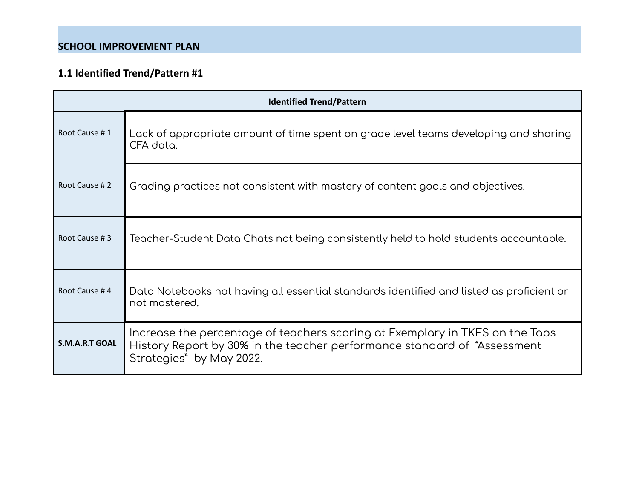| <b>Identified Trend/Pattern</b> |                                                                                                                                                                                       |  |  |  |
|---------------------------------|---------------------------------------------------------------------------------------------------------------------------------------------------------------------------------------|--|--|--|
| Root Cause #1                   | Lack of appropriate amount of time spent on grade level teams developing and sharing<br>CFA data.                                                                                     |  |  |  |
| Root Cause #2                   | Grading practices not consistent with mastery of content goals and objectives.                                                                                                        |  |  |  |
| Root Cause #3                   | Teacher-Student Data Chats not being consistently held to hold students accountable.                                                                                                  |  |  |  |
| Root Cause #4                   | Data Notebooks not having all essential standards identified and listed as proficient or<br>not mostered.                                                                             |  |  |  |
| <b>S.M.A.R.T GOAL</b>           | Increase the percentage of teachers scoring at Exemplary in TKES on the Taps<br>History Report by 30% in the teacher performance standard of "Assessment"<br>Strategies" by May 2022. |  |  |  |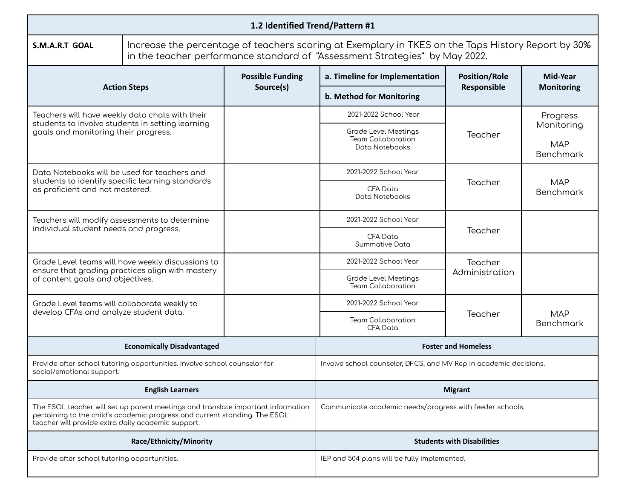| 1.2 Identified Trend/Pattern #1                                                                                                                                                                                      |                                                                                                                                                                                   |                                                          |                                                                     |                           |                                |
|----------------------------------------------------------------------------------------------------------------------------------------------------------------------------------------------------------------------|-----------------------------------------------------------------------------------------------------------------------------------------------------------------------------------|----------------------------------------------------------|---------------------------------------------------------------------|---------------------------|--------------------------------|
| S.M.A.R.T GOAL                                                                                                                                                                                                       | Increase the percentage of teachers scoring at Exemplary in TKES on the Taps History Report by 30%<br>in the teacher performance standard of "Assessment Strategies" by May 2022. |                                                          |                                                                     |                           |                                |
|                                                                                                                                                                                                                      |                                                                                                                                                                                   | <b>Possible Funding</b>                                  | a. Timeline for Implementation                                      | <b>Position/Role</b>      | Mid-Year                       |
|                                                                                                                                                                                                                      | <b>Action Steps</b>                                                                                                                                                               | Source(s)                                                | b. Method for Monitoring                                            | Responsible               | <b>Monitoring</b>              |
| Teachers will have weekly data chats with their<br>students to involve students in setting learning                                                                                                                  |                                                                                                                                                                                   |                                                          | 2021-2022 School Year                                               |                           | Progress<br>Monitoring         |
| goals and monitoring their progress.                                                                                                                                                                                 |                                                                                                                                                                                   |                                                          | Grade Level Meetings<br><b>Team Collaboration</b><br>Data Notebooks | Teacher                   | <b>MAP</b><br><b>Benchmark</b> |
| Data Notebooks will be used for teachers and<br>students to identify specific learning standards                                                                                                                     |                                                                                                                                                                                   |                                                          | 2021-2022 School Year                                               |                           |                                |
| as proficient and not mastered.                                                                                                                                                                                      |                                                                                                                                                                                   |                                                          | <b>CFA Data</b><br>Data Notebooks                                   | Teacher                   | <b>MAP</b><br><b>Benchmark</b> |
| Teachers will modify assessments to determine                                                                                                                                                                        |                                                                                                                                                                                   |                                                          | 2021-2022 School Year                                               |                           |                                |
| individual student needs and progress.                                                                                                                                                                               |                                                                                                                                                                                   |                                                          | CFA Data<br>Summative Data                                          | Teacher                   |                                |
|                                                                                                                                                                                                                      | Grade Level teams will have weekly discussions to<br>ensure that grading practices align with mastery                                                                             |                                                          | 2021-2022 School Year                                               | Teacher<br>Administration |                                |
| of content goals and objectives.                                                                                                                                                                                     |                                                                                                                                                                                   |                                                          | Grade Level Meetings<br><b>Team Collaboration</b>                   |                           |                                |
| Grade Level teams will collaborate weekly to<br>develop CFAs and analyze student data.                                                                                                                               |                                                                                                                                                                                   |                                                          | 2021-2022 School Year                                               | Teacher                   | <b>MAP</b>                     |
|                                                                                                                                                                                                                      |                                                                                                                                                                                   |                                                          | <b>Team Collaboration</b><br><b>CFA Data</b>                        |                           | <b>Benchmark</b>               |
|                                                                                                                                                                                                                      | <b>Economically Disadvantaged</b>                                                                                                                                                 |                                                          | <b>Foster and Homeless</b>                                          |                           |                                |
| social/emotional support.                                                                                                                                                                                            | Provide after school tutoring opportunities. Involve school counselor for                                                                                                         |                                                          | Involve school counselor, DFCS, and MV Rep in academic decisions.   |                           |                                |
| <b>English Learners</b>                                                                                                                                                                                              |                                                                                                                                                                                   | <b>Migrant</b>                                           |                                                                     |                           |                                |
| The ESOL teacher will set up parent meetings and translate important information<br>pertaining to the child's academic progress and current standing. The ESOL<br>teacher will provide extra daily academic support. |                                                                                                                                                                                   | Communicate academic needs/progress with feeder schools. |                                                                     |                           |                                |
|                                                                                                                                                                                                                      | Race/Ethnicity/Minority                                                                                                                                                           |                                                          | <b>Students with Disabilities</b>                                   |                           |                                |
| Provide after school tutoring opportunities.                                                                                                                                                                         |                                                                                                                                                                                   | IEP and 504 plans will be fully implemented.             |                                                                     |                           |                                |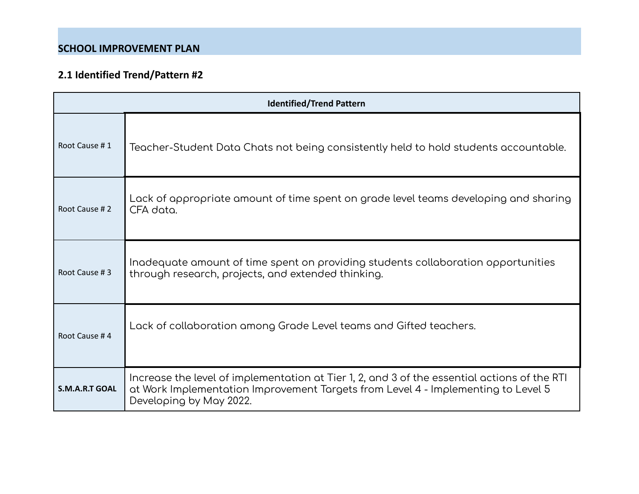| <b>Identified/Trend Pattern</b> |                                                                                                                                                                                                              |  |  |  |
|---------------------------------|--------------------------------------------------------------------------------------------------------------------------------------------------------------------------------------------------------------|--|--|--|
| Root Cause #1                   | Teacher-Student Data Chats not being consistently held to hold students accountable.                                                                                                                         |  |  |  |
| Root Cause #2                   | Lack of appropriate amount of time spent on grade level teams developing and sharing<br>CFA data.                                                                                                            |  |  |  |
| Root Cause #3                   | Inadequate amount of time spent on providing students collaboration opportunities<br>through research, projects, and extended thinking.                                                                      |  |  |  |
| Root Cause #4                   | Lack of collaboration among Grade Level teams and Gifted teachers.                                                                                                                                           |  |  |  |
| <b>S.M.A.R.T GOAL</b>           | Increase the level of implementation at Tier 1, 2, and 3 of the essential actions of the RTI<br>at Work Implementation Improvement Targets from Level 4 - Implementing to Level 5<br>Developing by May 2022. |  |  |  |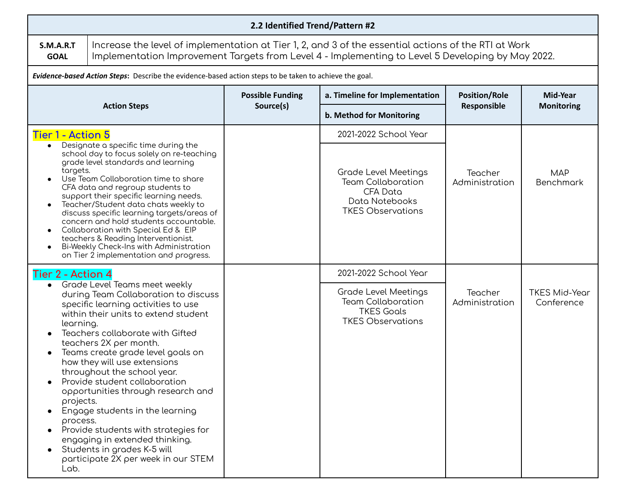| 2.2 Identified Trend/Pattern #2                         |                                                                                                                                                                                                                                                                                                                                                                                                                                                                                                                                                                                  |                         |                                                                                                                           |                           |                                    |  |
|---------------------------------------------------------|----------------------------------------------------------------------------------------------------------------------------------------------------------------------------------------------------------------------------------------------------------------------------------------------------------------------------------------------------------------------------------------------------------------------------------------------------------------------------------------------------------------------------------------------------------------------------------|-------------------------|---------------------------------------------------------------------------------------------------------------------------|---------------------------|------------------------------------|--|
| <b>S.M.A.R.T</b><br><b>GOAL</b>                         | Increase the level of implementation at Tier 1, 2, and 3 of the essential actions of the RTI at Work<br>Implementation Improvement Targets from Level 4 - Implementing to Level 5 Developing by May 2022.                                                                                                                                                                                                                                                                                                                                                                        |                         |                                                                                                                           |                           |                                    |  |
|                                                         | Evidence-based Action Steps: Describe the evidence-based action steps to be taken to achieve the goal.                                                                                                                                                                                                                                                                                                                                                                                                                                                                           |                         |                                                                                                                           |                           |                                    |  |
|                                                         |                                                                                                                                                                                                                                                                                                                                                                                                                                                                                                                                                                                  | <b>Possible Funding</b> | a. Timeline for Implementation                                                                                            | <b>Position/Role</b>      | Mid-Year<br><b>Monitoring</b>      |  |
|                                                         | <b>Action Steps</b>                                                                                                                                                                                                                                                                                                                                                                                                                                                                                                                                                              | Source(s)               | b. Method for Monitoring                                                                                                  | Responsible               |                                    |  |
| Tier 1 - Action 5                                       |                                                                                                                                                                                                                                                                                                                                                                                                                                                                                                                                                                                  |                         | 2021-2022 School Year                                                                                                     |                           |                                    |  |
| targets.                                                | Designate a specific time during the<br>school day to focus solely on re-teaching<br>grade level standards and learning<br>Use Team Collaboration time to share<br>CFA data and regroup students to<br>support their specific learning needs.<br>Teacher/Student data chats weekly to<br>discuss specific learning targets/areas of<br>concern and hold students accountable.<br>Collaboration with Special Ed & EIP<br>teachers & Reading Interventionist.<br>Bi-Weekly Check-Ins with Administration<br>on Tier 2 implementation and progress.                                 |                         | <b>Grade Level Meetings</b><br><b>Team Collaboration</b><br><b>CFA Data</b><br>Data Notebooks<br><b>TKES Observations</b> | Teacher<br>Administration | <b>MAP</b><br><b>Benchmark</b>     |  |
| Tier 2 - Action 4                                       |                                                                                                                                                                                                                                                                                                                                                                                                                                                                                                                                                                                  |                         | 2021-2022 School Year                                                                                                     |                           |                                    |  |
| $\bullet$<br>learning.<br>projects.<br>process.<br>Lab. | Grade Level Teams meet weekly<br>during Team Collaboration to discuss<br>specific learning activities to use<br>within their units to extend student<br>Teachers collaborate with Gifted<br>teachers 2X per month.<br>Teams create grade level goals on<br>how they will use extensions<br>throughout the school year.<br>Provide student collaboration<br>opportunities through research and<br>Engage students in the learning<br>Provide students with strategies for<br>engaging in extended thinking.<br>Students in grades K-5 will<br>participate 2X per week in our STEM |                         | <b>Grade Level Meetings</b><br><b>Team Collaboration</b><br><b>TKES Goals</b><br><b>TKES Observations</b>                 | Teacher<br>Administration | <b>TKES Mid-Year</b><br>Conference |  |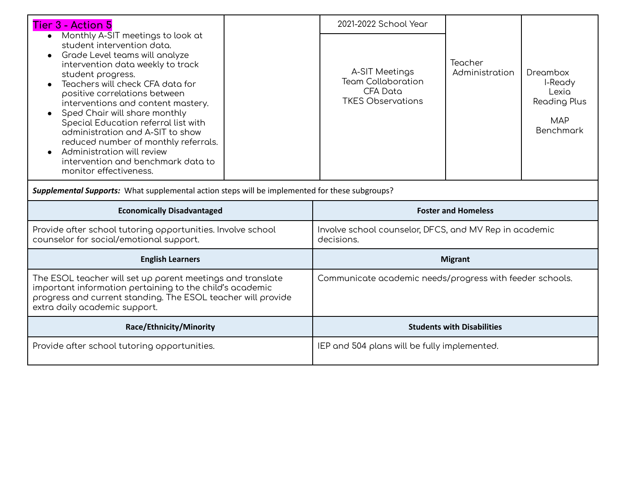| <b>Tier 3 - Action 5</b>                                                                                                                                                                                                                                                                                                                                                                                                                                                                                                               |  | 2021-2022 School Year                                                                      |                           |                                                                                |
|----------------------------------------------------------------------------------------------------------------------------------------------------------------------------------------------------------------------------------------------------------------------------------------------------------------------------------------------------------------------------------------------------------------------------------------------------------------------------------------------------------------------------------------|--|--------------------------------------------------------------------------------------------|---------------------------|--------------------------------------------------------------------------------|
| Monthly A-SIT meetings to look at<br>student intervention data.<br>Grade Level teams will analyze<br>intervention data weekly to track<br>student progress.<br>Teachers will check CFA data for<br>positive correlations between<br>interventions and content mastery.<br>Sped Chair will share monthly<br>$\bullet$<br>Special Education referral list with<br>administration and A-SIT to show<br>reduced number of monthly referrals.<br>Administration will review<br>intervention and benchmark data to<br>monitor effectiveness. |  | A-SIT Meetings<br><b>Team Collaboration</b><br><b>CFA Data</b><br><b>TKES Observations</b> | Teacher<br>Administration | Dreambox<br>I-Ready<br>Lexia<br><b>Reading Plus</b><br><b>MAP</b><br>Benchmark |
| Supplemental Supports: What supplemental action steps will be implemented for these subgroups?                                                                                                                                                                                                                                                                                                                                                                                                                                         |  |                                                                                            |                           |                                                                                |
| <b>Economically Disadvantaged</b>                                                                                                                                                                                                                                                                                                                                                                                                                                                                                                      |  | <b>Foster and Homeless</b>                                                                 |                           |                                                                                |
| Provide after school tutoring opportunities. Involve school<br>counselor for social/emotional support.                                                                                                                                                                                                                                                                                                                                                                                                                                 |  | Involve school counselor, DFCS, and MV Rep in academic<br>decisions.                       |                           |                                                                                |
| <b>English Learners</b>                                                                                                                                                                                                                                                                                                                                                                                                                                                                                                                |  | <b>Migrant</b>                                                                             |                           |                                                                                |
| The ESOL teacher will set up parent meetings and translate<br>important information pertaining to the child's academic<br>progress and current standing. The ESOL teacher will provide<br>extra daily academic support.                                                                                                                                                                                                                                                                                                                |  | Communicate academic needs/progress with feeder schools.                                   |                           |                                                                                |
| Race/Ethnicity/Minority                                                                                                                                                                                                                                                                                                                                                                                                                                                                                                                |  | <b>Students with Disabilities</b>                                                          |                           |                                                                                |
| Provide after school tutoring opportunities.                                                                                                                                                                                                                                                                                                                                                                                                                                                                                           |  | IEP and 504 plans will be fully implemented.                                               |                           |                                                                                |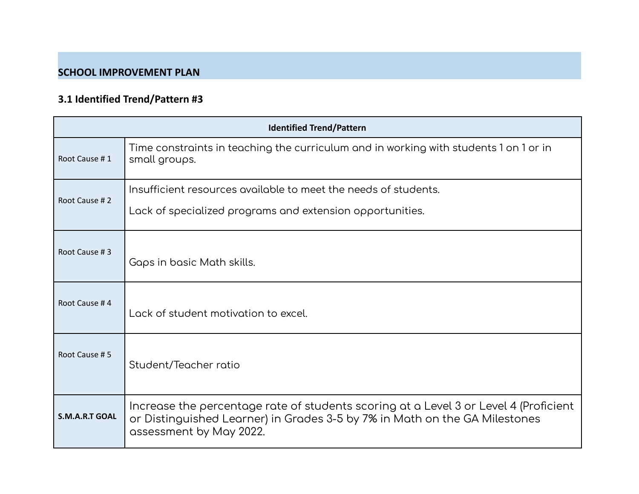| <b>Identified Trend/Pattern</b> |                                                                                                                                                                                               |  |  |  |
|---------------------------------|-----------------------------------------------------------------------------------------------------------------------------------------------------------------------------------------------|--|--|--|
| Root Cause #1                   | Time constraints in teaching the curriculum and in working with students 1 on 1 or in<br>small groups.                                                                                        |  |  |  |
| Root Cause #2                   | Insufficient resources available to meet the needs of students.<br>Lack of specialized programs and extension opportunities.                                                                  |  |  |  |
| Root Cause #3                   | Gaps in basic Math skills.                                                                                                                                                                    |  |  |  |
| Root Cause #4                   | Lack of student motivation to excel.                                                                                                                                                          |  |  |  |
| Root Cause #5                   | Student/Teacher ratio                                                                                                                                                                         |  |  |  |
| <b>S.M.A.R.T GOAL</b>           | Increase the percentage rate of students scoring at a Level 3 or Level 4 (Proficient<br>or Distinguished Learner) in Grades 3-5 by 7% in Math on the GA Milestones<br>assessment by May 2022. |  |  |  |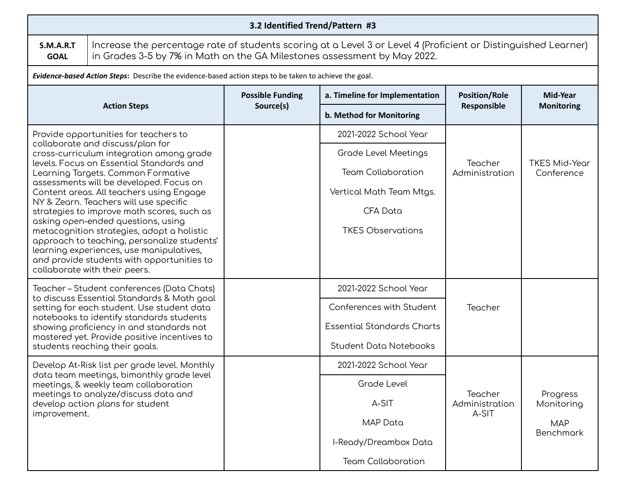| 3.2 Identified Trend/Pattern #3                                                         |                                                                                                                                                                                            |                         |                                   |                           |                                |  |
|-----------------------------------------------------------------------------------------|--------------------------------------------------------------------------------------------------------------------------------------------------------------------------------------------|-------------------------|-----------------------------------|---------------------------|--------------------------------|--|
| S.M.A.R.T<br><b>GOAL</b>                                                                | Increase the percentage rate of students scoring at a Level 3 or Level 4 (Proficient or Distinguished Learner)<br>in Grades 3-5 by 7% in Math on the GA Milestones assessment by May 2022. |                         |                                   |                           |                                |  |
|                                                                                         | Evidence-based Action Steps: Describe the evidence-based action steps to be taken to achieve the goal.                                                                                     |                         |                                   |                           |                                |  |
|                                                                                         |                                                                                                                                                                                            | <b>Possible Funding</b> | a. Timeline for Implementation    | <b>Position/Role</b>      | Mid-Year                       |  |
|                                                                                         | <b>Action Steps</b>                                                                                                                                                                        | Source(s)               | b. Method for Monitoring          | Responsible               | <b>Monitoring</b>              |  |
|                                                                                         | Provide opportunities for teachers to                                                                                                                                                      |                         | 2021-2022 School Year             |                           |                                |  |
|                                                                                         | collaborate and discuss/plan for<br>cross-curriculum integration among grade                                                                                                               |                         | <b>Grade Level Meetings</b>       |                           | <b>TKES Mid-Year</b>           |  |
|                                                                                         | levels. Focus on Essential Standards and<br>Learning Targets. Common Formative                                                                                                             |                         | <b>Team Collaboration</b>         | Teacher<br>Administration | Conference                     |  |
|                                                                                         | assessments will be developed. Focus on<br>Content areas. All teachers using Engage                                                                                                        |                         | Vertical Math Team Mtgs.          |                           |                                |  |
|                                                                                         | NY & Zearn. Teachers will use specific<br>strategies to improve math scores, such as                                                                                                       |                         | <b>CFA Data</b>                   |                           |                                |  |
|                                                                                         | asking open-ended questions, using<br>metacognition strategies, adopt a holistic                                                                                                           |                         | <b>TKES Observations</b>          |                           |                                |  |
| approach to teaching, personalize students'<br>learning experiences, use manipulatives, |                                                                                                                                                                                            |                         |                                   |                           |                                |  |
|                                                                                         | and provide students with opportunities to<br>collaborate with their peers.                                                                                                                |                         |                                   |                           |                                |  |
|                                                                                         | Teacher – Student conferences (Data Chats)<br>to discuss Essential Standards & Math goal                                                                                                   |                         | 2021-2022 School Year             |                           |                                |  |
|                                                                                         | setting for each student. Use student data<br>notebooks to identify standards students                                                                                                     |                         | Conferences with Student          | Teacher                   |                                |  |
|                                                                                         | showing proficiency in and standards not<br>mostered yet. Provide positive incentives to                                                                                                   |                         | <b>Essential Standards Charts</b> |                           |                                |  |
|                                                                                         | students reaching their goals.                                                                                                                                                             |                         | <b>Student Data Notebooks</b>     |                           |                                |  |
|                                                                                         | Develop At-Risk list per grade level. Monthly<br>data team meetings, bimonthly grade level                                                                                                 |                         | 2021-2022 School Year             |                           |                                |  |
|                                                                                         | meetings, & weekly team collaboration<br>meetings to analyze/discuss data and                                                                                                              |                         | Grade Level                       | Teacher                   | Progress                       |  |
|                                                                                         | develop action plans for student                                                                                                                                                           |                         | A-SIT                             | Administration<br>A-SIT   | Monitoring                     |  |
| improvement.                                                                            |                                                                                                                                                                                            |                         | <b>MAP Data</b>                   |                           | <b>MAP</b><br><b>Benchmark</b> |  |
|                                                                                         |                                                                                                                                                                                            |                         | I-Ready/Dreambox Data             |                           |                                |  |
|                                                                                         |                                                                                                                                                                                            |                         | <b>Team Collaboration</b>         |                           |                                |  |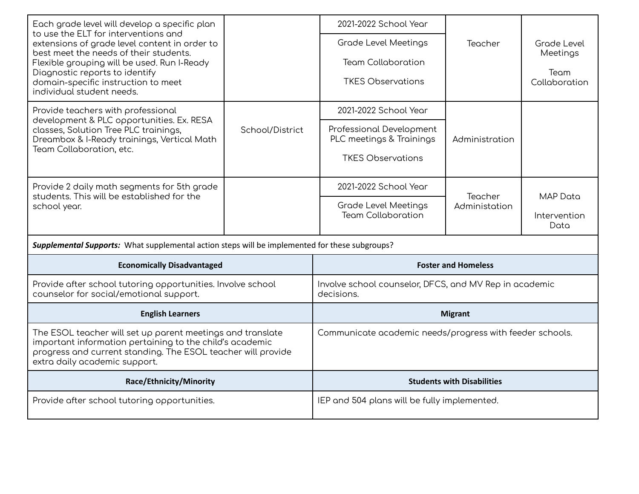| Each grade level will develop a specific plan<br>to use the ELT for interventions and                                                                                                                                   |                 | 2021-2022 School Year                                                |                                   |                       |
|-------------------------------------------------------------------------------------------------------------------------------------------------------------------------------------------------------------------------|-----------------|----------------------------------------------------------------------|-----------------------------------|-----------------------|
| extensions of grade level content in order to                                                                                                                                                                           |                 | <b>Grade Level Meetings</b>                                          | Teacher                           | Grade Level           |
| best meet the needs of their students.<br>Flexible grouping will be used. Run I-Ready                                                                                                                                   |                 | <b>Team Collaboration</b>                                            |                                   | Meetings              |
| Diagnostic reports to identify<br>domain-specific instruction to meet<br>individual student needs.                                                                                                                      |                 | <b>TKES Observations</b>                                             |                                   | Team<br>Collaboration |
| Provide teachers with professional<br>development & PLC opportunities. Ex. RESA                                                                                                                                         |                 | 2021-2022 School Year                                                |                                   |                       |
| classes, Solution Tree PLC trainings,<br>Dreambox & I-Ready trainings, Vertical Math<br>Team Collaboration, etc.                                                                                                        | School/District | Professional Development<br>PLC meetings & Trainings                 | Administration                    |                       |
|                                                                                                                                                                                                                         |                 | <b>TKES Observations</b>                                             |                                   |                       |
| Provide 2 daily math segments for 5th grade<br>students. This will be established for the                                                                                                                               |                 | 2021-2022 School Year                                                | Teacher                           | <b>MAP</b> Data       |
| school year.                                                                                                                                                                                                            |                 | <b>Grade Level Meetings</b><br><b>Team Collaboration</b>             | Administation                     |                       |
|                                                                                                                                                                                                                         |                 |                                                                      |                                   | Intervention<br>Data  |
| Supplemental Supports: What supplemental action steps will be implemented for these subgroups?                                                                                                                          |                 |                                                                      |                                   |                       |
| <b>Economically Disadvantaged</b>                                                                                                                                                                                       |                 | <b>Foster and Homeless</b>                                           |                                   |                       |
| Provide after school tutoring opportunities. Involve school<br>counselor for social/emotional support.                                                                                                                  |                 | Involve school counselor, DFCS, and MV Rep in academic<br>decisions. |                                   |                       |
| <b>English Learners</b>                                                                                                                                                                                                 |                 | <b>Migrant</b>                                                       |                                   |                       |
| The ESOL teacher will set up parent meetings and translate<br>important information pertaining to the child's academic<br>progress and current standing. The ESOL teacher will provide<br>extra daily academic support. |                 | Communicate academic needs/progress with feeder schools.             |                                   |                       |
| Race/Ethnicity/Minority                                                                                                                                                                                                 |                 |                                                                      | <b>Students with Disabilities</b> |                       |
| Provide after school tutoring opportunities.                                                                                                                                                                            |                 | IEP and 504 plans will be fully implemented.                         |                                   |                       |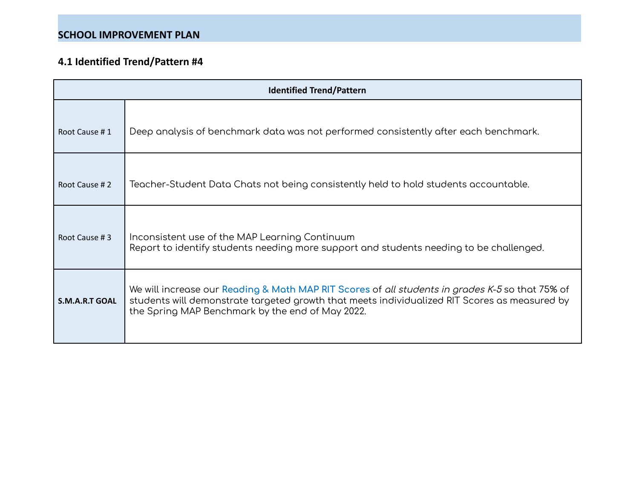| <b>Identified Trend/Pattern</b> |                                                                                                                                                                                                                                                             |  |  |  |
|---------------------------------|-------------------------------------------------------------------------------------------------------------------------------------------------------------------------------------------------------------------------------------------------------------|--|--|--|
| Root Cause #1                   | Deep analysis of benchmark data was not performed consistently after each benchmark.                                                                                                                                                                        |  |  |  |
| Root Cause #2                   | Teacher-Student Data Chats not being consistently held to hold students accountable.                                                                                                                                                                        |  |  |  |
| Root Cause #3                   | Inconsistent use of the MAP Learning Continuum<br>Report to identify students needing more support and students needing to be challenged.                                                                                                                   |  |  |  |
| <b>S.M.A.R.T GOAL</b>           | We will increase our Reading & Math MAP RIT Scores of <i>all students in grades K-5</i> so that 75% of<br>students will demonstrate targeted growth that meets individualized RIT Scores as measured by<br>the Spring MAP Benchmark by the end of May 2022. |  |  |  |